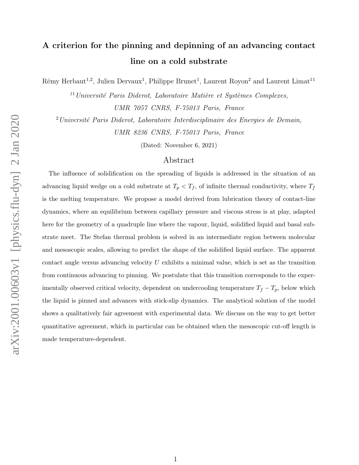# A criterion for the pinning and depinning of an advancing contact line on a cold substrate

Rémy Herbaut<sup>1,2</sup>, Julien Dervaux<sup>1</sup>, Philippe Brunet<sup>1</sup>, Laurent Royon<sup>2</sup> and Laurent Limat<sup>11</sup>

 $11$ Université Paris Diderot, Laboratoire Matière et Systèmes Complexes, UMR 7057 CNRS, F-75013 Paris, France

 $2$ Université Paris Diderot, Laboratoire Interdisciplinaire des Energies de Demain,

UMR 8236 CNRS, F-75013 Paris, France

(Dated: November 6, 2021)

# Abstract

The influence of solidification on the spreading of liquids is addressed in the situation of an advancing liquid wedge on a cold substrate at  $T_p < T_f$ , of infinite thermal conductivity, where  $T_f$ is the melting temperature. We propose a model derived from lubrication theory of contact-line dynamics, where an equilibrium between capillary pressure and viscous stress is at play, adapted here for the geometry of a quadruple line where the vapour, liquid, solidified liquid and basal substrate meet. The Stefan thermal problem is solved in an intermediate region between molecular and mesoscopic scales, allowing to predict the shape of the solidified liquid surface. The apparent contact angle versus advancing velocity  $U$  exhibits a minimal value, which is set as the transition from continuous advancing to pinning. We postulate that this transition corresponds to the experimentally observed critical velocity, dependent on undercooling temperature  $T_f - T_p$ , below which the liquid is pinned and advances with stick-slip dynamics. The analytical solution of the model shows a qualitatively fair agreement with experimental data. We discuss on the way to get better quantitative agreement, which in particular can be obtained when the mesoscopic cut-off length is made temperature-dependent.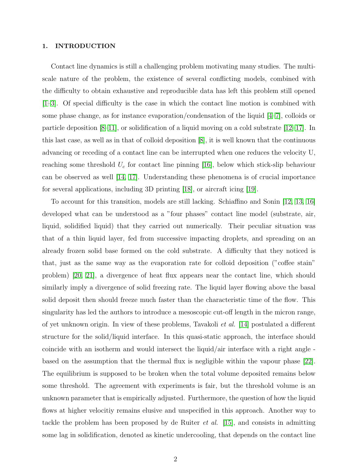# 1. INTRODUCTION

Contact line dynamics is still a challenging problem motivating many studies. The multiscale nature of the problem, the existence of several conflicting models, combined with the difficulty to obtain exhaustive and reproducible data has left this problem still opened [\[1](#page-17-0)[–3\]](#page-17-1). Of special difficulty is the case in which the contact line motion is combined with some phase change, as for instance evaporation/condensation of the liquid [\[4–](#page-17-2)[7\]](#page-17-3), colloids or particle deposition [\[8–](#page-17-4)[11\]](#page-17-5), or solidification of a liquid moving on a cold substrate [\[12](#page-17-6)[–17\]](#page-18-0). In this last case, as well as in that of colloid deposition [\[8\]](#page-17-4), it is well known that the continuous advancing or receding of a contact line can be interrupted when one reduces the velocity U, reaching some threshold  $U_c$  for contact line pinning [\[16\]](#page-18-1), below which stick-slip behaviour can be observed as well [\[14,](#page-18-2) [17\]](#page-18-0). Understanding these phenomena is of crucial importance for several applications, including 3D printing [\[18\]](#page-18-3), or aircraft icing [\[19\]](#page-18-4).

To account for this transition, models are still lacking. Schiaffino and Sonin [\[12,](#page-17-6) [13,](#page-17-7) [16\]](#page-18-1) developed what can be understood as a "four phases" contact line model (substrate, air, liquid, solidified liquid) that they carried out numerically. Their peculiar situation was that of a thin liquid layer, fed from successive impacting droplets, and spreading on an already frozen solid base formed on the cold substrate. A difficulty that they noticed is that, just as the same way as the evaporation rate for colloid deposition ("coffee stain" problem) [\[20,](#page-18-5) [21\]](#page-18-6), a divergence of heat flux appears near the contact line, which should similarly imply a divergence of solid freezing rate. The liquid layer flowing above the basal solid deposit then should freeze much faster than the characteristic time of the flow. This singularity has led the authors to introduce a mesoscopic cut-off length in the micron range, of yet unknown origin. In view of these problems, Tavakoli et al. [\[14\]](#page-18-2) postulated a different structure for the solid/liquid interface. In this quasi-static approach, the interface should coincide with an isotherm and would intersect the liquid/air interface with a right angle based on the assumption that the thermal flux is negligible within the vapour phase [\[22\]](#page-18-7). The equilibrium is supposed to be broken when the total volume deposited remains below some threshold. The agreement with experiments is fair, but the threshold volume is an unknown parameter that is empirically adjusted. Furthermore, the question of how the liquid flows at higher velocitiy remains elusive and unspecified in this approach. Another way to tackle the problem has been proposed by de Ruiter *et al.* [\[15\]](#page-18-8), and consists in admitting some lag in solidification, denoted as kinetic undercooling, that depends on the contact line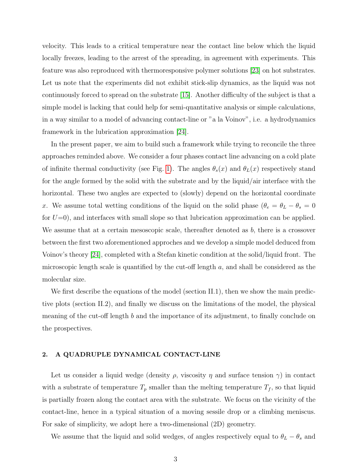velocity. This leads to a critical temperature near the contact line below which the liquid locally freezes, leading to the arrest of the spreading, in agreement with experiments. This feature was also reproduced with thermoresponsive polymer solutions [\[23\]](#page-18-9) on hot substrates. Let us note that the experiments did not exhibit stick-slip dynamics, as the liquid was not continuously forced to spread on the substrate [\[15\]](#page-18-8). Another difficulty of the subject is that a simple model is lacking that could help for semi-quantitative analysis or simple calculations, in a way similar to a model of advancing contact-line or "a la Voinov", i.e. a hydrodynamics framework in the lubrication approximation [\[24\]](#page-18-10).

In the present paper, we aim to build such a framework while trying to reconcile the three approaches reminded above. We consider a four phases contact line advancing on a cold plate of infinite thermal conductivity (see Fig. [1\)](#page-4-0). The angles  $\theta_s(x)$  and  $\theta_L(x)$  respectively stand for the angle formed by the solid with the substrate and by the liquid/air interface with the horizontal. These two angles are expected to (slowly) depend on the horizontal coordinate x. We assume total wetting conditions of the liquid on the solid phase  $(\theta_e = \theta_L - \theta_s = 0$ for  $U=0$ ), and interfaces with small slope so that lubrication approximation can be applied. We assume that at a certain mesoscopic scale, thereafter denoted as  $b$ , there is a crossover between the first two aforementioned approches and we develop a simple model deduced from Voinov's theory [\[24\]](#page-18-10), completed with a Stefan kinetic condition at the solid/liquid front. The microscopic length scale is quantified by the cut-off length  $a$ , and shall be considered as the molecular size.

We first describe the equations of the model (section II.1), then we show the main predictive plots (section II.2), and finally we discuss on the limitations of the model, the physical meaning of the cut-off length b and the importance of its adjustment, to finally conclude on the prospectives.

# 2. A QUADRUPLE DYNAMICAL CONTACT-LINE

Let us consider a liquid wedge (density  $\rho$ , viscosity  $\eta$  and surface tension  $\gamma$ ) in contact with a substrate of temperature  $T_p$  smaller than the melting temperature  $T_f$ , so that liquid is partially frozen along the contact area with the substrate. We focus on the vicinity of the contact-line, hence in a typical situation of a moving sessile drop or a climbing meniscus. For sake of simplicity, we adopt here a two-dimensional (2D) geometry.

We assume that the liquid and solid wedges, of angles respectively equal to  $\theta_L - \theta_s$  and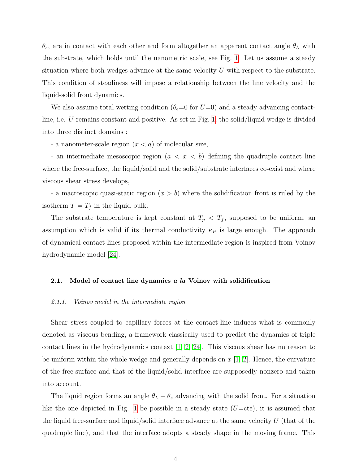$\theta_s$ , are in contact with each other and form altogether an apparent contact angle  $\theta_L$  with the substrate, which holds until the nanometric scale, see Fig. [1.](#page-4-0) Let us assume a steady situation where both wedges advance at the same velocity  $U$  with respect to the substrate. This condition of steadiness will impose a relationship between the line velocity and the liquid-solid front dynamics.

We also assume total wetting condition  $(\theta_e=0$  for  $U=0)$  and a steady advancing contactline, i.e. U remains constant and positive. As set in Fig. [1,](#page-4-0) the solid/liquid wedge is divided into three distinct domains :

- a nanometer-scale region  $(x < a)$  of molecular size,

- an intermediate mesoscopic region  $(a < x < b)$  defining the quadruple contact line where the free-surface, the liquid/solid and the solid/substrate interfaces co-exist and where viscous shear stress develops,

- a macroscopic quasi-static region  $(x > b)$  where the solidification front is ruled by the isotherm  $T = T_f$  in the liquid bulk.

The substrate temperature is kept constant at  $T_p < T_f$ , supposed to be uniform, an assumption which is valid if its thermal conductivity  $\kappa_P$  is large enough. The approach of dynamical contact-lines proposed within the intermediate region is inspired from Voinov hydrodynamic model [\[24\]](#page-18-10).

# 2.1. Model of contact line dynamics a la Voinov with solidification

### 2.1.1. Voinov model in the intermediate region

Shear stress coupled to capillary forces at the contact-line induces what is commonly denoted as viscous bending, a framework classically used to predict the dynamics of triple contact lines in the hydrodynamics context [\[1,](#page-17-0) [2,](#page-17-8) [24\]](#page-18-10). This viscous shear has no reason to be uniform within the whole wedge and generally depends on  $x \mid 1, 2$ . Hence, the curvature of the free-surface and that of the liquid/solid interface are supposedly nonzero and taken into account.

The liquid region forms an angle  $\theta_L - \theta_s$  advancing with the solid front. For a situation like the one depicted in Fig. [1](#page-4-0) be possible in a steady state  $(U=cte)$ , it is assumed that the liquid free-surface and liquid/solid interface advance at the same velocity  $U$  (that of the quadruple line), and that the interface adopts a steady shape in the moving frame. This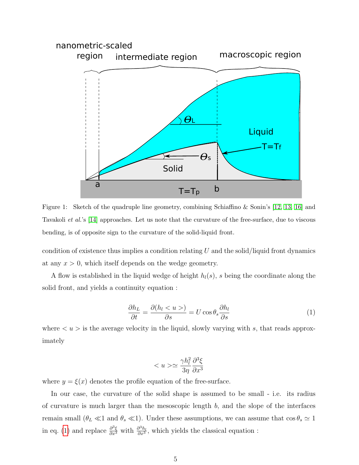

<span id="page-4-0"></span>Figure 1: Sketch of the quadruple line geometry, combining Schiaffino & Sonin's [\[12,](#page-17-6) [13,](#page-17-7) [16\]](#page-18-1) and Tavakoli et al.'s [\[14\]](#page-18-2) approaches. Let us note that the curvature of the free-surface, due to viscous bending, is of opposite sign to the curvature of the solid-liquid front.

condition of existence thus implies a condition relating  $U$  and the solid/liquid front dynamics at any  $x > 0$ , which itself depends on the wedge geometry.

A flow is established in the liquid wedge of height  $h_l(s)$ , s being the coordinate along the solid front, and yields a continuity equation :

<span id="page-4-1"></span>
$$
\frac{\partial h_L}{\partial t} = \frac{\partial (h_l < u >)}{\partial s} = U \cos \theta_s \frac{\partial h_l}{\partial s} \tag{1}
$$

where  $\langle u \rangle$  is the average velocity in the liquid, slowly varying with s, that reads approximately

$$
\simeq \frac{\gamma h_l^2}{3\eta} \frac{\partial^3 \xi}{\partial x^3}
$$

where  $y = \xi(x)$  denotes the profile equation of the free-surface.

In our case, the curvature of the solid shape is assumed to be small - i.e. its radius of curvature is much larger than the mesoscopic length  $b$ , and the slope of the interfaces remain small  $(\theta_L \ll 1 \text{ and } \theta_s \ll 1)$ . Under these assumptions, we can assume that  $\cos \theta_s \simeq 1$ in eq. [\(1\)](#page-4-1) and replace  $\frac{\partial^3 \xi}{\partial x^3}$  with  $\frac{\partial^3 h_l}{\partial x^3}$  $\frac{\partial^{\alpha} h_l}{\partial x^3}$ , which yields the classical equation :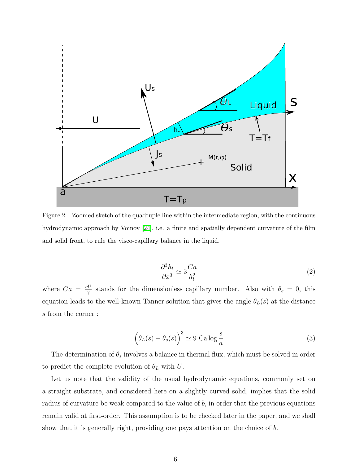

Figure 2: Zoomed sketch of the quadruple line within the intermediate region, with the continuous hydrodynamic approach by Voinov [\[24\]](#page-18-10), i.e. a finite and spatially dependent curvature of the film and solid front, to rule the visco-capillary balance in the liquid.

$$
\frac{\partial^3 h_l}{\partial x^3} \simeq 3 \frac{Ca}{h_l^2} \tag{2}
$$

where  $Ca = \frac{\eta U}{\gamma}$  $\frac{\partial U}{\partial \gamma}$  stands for the dimensionless capillary number. Also with  $\theta_e = 0$ , this equation leads to the well-known Tanner solution that gives the angle  $\theta_L(s)$  at the distance s from the corner :

<span id="page-5-0"></span>
$$
\left(\theta_L(s) - \theta_s(s)\right)^3 \simeq 9 \text{ Ca} \log \frac{s}{a} \tag{3}
$$

The determination of  $\theta_s$  involves a balance in thermal flux, which must be solved in order to predict the complete evolution of  $\theta_L$  with U.

Let us note that the validity of the usual hydrodynamic equations, commonly set on a straight substrate, and considered here on a slightly curved solid, implies that the solid radius of curvature be weak compared to the value of  $b$ , in order that the previous equations remain valid at first-order. This assumption is to be checked later in the paper, and we shall show that it is generally right, providing one pays attention on the choice of b.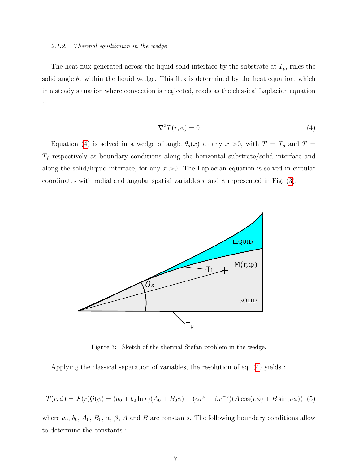### 2.1.2. Thermal equilibrium in the wedge

The heat flux generated across the liquid-solid interface by the substrate at  $T_p$ , rules the solid angle  $\theta_s$  within the liquid wedge. This flux is determined by the heat equation, which in a steady situation where convection is neglected, reads as the classical Laplacian equation :

<span id="page-6-0"></span>
$$
\nabla^2 T(r,\phi) = 0\tag{4}
$$

Equation [\(4\)](#page-6-0) is solved in a wedge of angle  $\theta_s(x)$  at any  $x > 0$ , with  $T = T_p$  and  $T =$  $T_f$  respectively as boundary conditions along the horizontal substrate/solid interface and along the solid/liquid interface, for any  $x > 0$ . The Laplacian equation is solved in circular coordinates with radial and angular spatial variables r and  $\phi$  represented in Fig. [\(3\)](#page-6-1).



<span id="page-6-1"></span>Figure 3: Sketch of the thermal Stefan problem in the wedge.

Applying the classical separation of variables, the resolution of eq. [\(4\)](#page-6-0) yields :

<span id="page-6-2"></span>
$$
T(r,\phi) = \mathcal{F}(r)\mathcal{G}(\phi) = (a_0 + b_0 \ln r)(A_0 + B_0 \phi) + (\alpha r^{\nu} + \beta r^{-\nu})(A \cos(\nu \phi) + B \sin(\nu \phi))
$$
 (5)

where  $a_0$ ,  $b_0$ ,  $A_0$ ,  $B_0$ ,  $\alpha$ ,  $\beta$ ,  $A$  and  $B$  are constants. The following boundary conditions allow to determine the constants :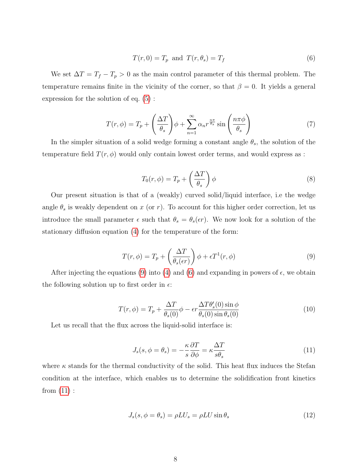<span id="page-7-1"></span>
$$
T(r,0) = T_p \text{ and } T(r,\theta_s) = T_f \tag{6}
$$

We set  $\Delta T = T_f - T_p > 0$  as the main control parameter of this thermal problem. The temperature remains finite in the vicinity of the corner, so that  $\beta = 0$ . It yields a general expression for the solution of eq. [\(5\)](#page-6-2) :

$$
T(r,\phi) = T_p + \left(\frac{\Delta T}{\theta_s}\right)\phi + \sum_{n=1}^{\infty} \alpha_n r^{\frac{n\pi}{\theta_s}} \sin\left(\frac{n\pi\phi}{\theta_s}\right) \tag{7}
$$

In the simpler situation of a solid wedge forming a constant angle  $\theta_s$ , the solution of the temperature field  $T(r, \phi)$  would only contain lowest order terms, and would express as :

$$
T_0(r,\phi) = T_p + \left(\frac{\Delta T}{\theta_s}\right)\phi\tag{8}
$$

Our present situation is that of a (weakly) curved solid/liquid interface, i.e the wedge angle  $\theta_s$  is weakly dependent on x (or r). To account for this higher order correction, let us introduce the small parameter  $\epsilon$  such that  $\theta_s = \theta_s(\epsilon r)$ . We now look for a solution of the stationary diffusion equation [\(4\)](#page-6-0) for the temperature of the form:

<span id="page-7-0"></span>
$$
T(r,\phi) = T_p + \left(\frac{\Delta T}{\theta_s(\epsilon r)}\right)\phi + \epsilon T^1(r,\phi)
$$
\n(9)

After injecting the equations [\(9\)](#page-7-0) into [\(4\)](#page-6-0) and [\(6\)](#page-7-1) and expanding in powers of  $\epsilon$ , we obtain the following solution up to first order in  $\epsilon$ :

<span id="page-7-4"></span>
$$
T(r,\phi) = T_p + \frac{\Delta T}{\theta_s(0)}\phi - \epsilon r \frac{\Delta T \theta_s'(0) \sin \phi}{\theta_s(0) \sin \theta_s(0)}
$$
(10)

Let us recall that the flux across the liquid-solid interface is:

<span id="page-7-2"></span>
$$
J_s(s, \phi = \theta_s) = -\frac{\kappa}{s} \frac{\partial T}{\partial \phi} = \kappa \frac{\Delta T}{s \theta_s} \tag{11}
$$

where  $\kappa$  stands for the thermal conductivity of the solid. This heat flux induces the Stefan condition at the interface, which enables us to determine the solidification front kinetics from  $(11)$ :

<span id="page-7-3"></span>
$$
J_s(s, \phi = \theta_s) = \rho L U_s = \rho L U \sin \theta_s \tag{12}
$$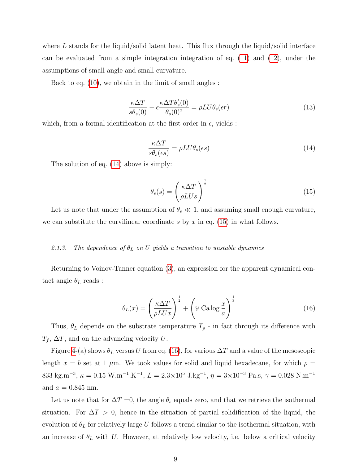where L stands for the liquid/solid latent heat. This flux through the liquid/solid interface can be evaluated from a simple integration integration of eq. [\(11\)](#page-7-2) and [\(12\)](#page-7-3), under the assumptions of small angle and small curvature.

Back to eq. [\(10\)](#page-7-4), we obtain in the limit of small angles :

$$
\frac{\kappa \Delta T}{s \theta_s(0)} - \epsilon \frac{\kappa \Delta T \theta_s'(0)}{\theta_s(0)^2} = \rho L U \theta_s(\epsilon r)
$$
\n(13)

which, from a formal identification at the first order in  $\epsilon$ , yields :

<span id="page-8-0"></span>
$$
\frac{\kappa \Delta T}{s \theta_s(\epsilon s)} = \rho L U \theta_s(\epsilon s) \tag{14}
$$

The solution of eq. [\(14\)](#page-8-0) above is simply:

<span id="page-8-1"></span>
$$
\theta_s(s) = \left(\frac{\kappa \Delta T}{\rho LUs}\right)^{\frac{1}{2}}
$$
\n(15)

Let us note that under the assumption of  $\theta_s \ll 1$ , and assuming small enough curvature, we can substitute the curvilinear coordinate s by  $x$  in eq. [\(15\)](#page-8-1) in what follows.

# 2.1.3. The dependence of  $\theta_L$  on U yields a transition to unstable dynamics

Returning to Voinov-Tanner equation [\(3\)](#page-5-0), an expression for the apparent dynamical contact angle  $\theta_L$  reads :

<span id="page-8-2"></span>
$$
\theta_L(x) = \left(\frac{\kappa \Delta T}{\rho L U x}\right)^{\frac{1}{2}} + \left(9 \text{ Ca} \log \frac{x}{a}\right)^{\frac{1}{3}} \tag{16}
$$

Thus,  $\theta_L$  depends on the substrate temperature  $T_p$  - in fact through its difference with  $T_f$ ,  $\Delta T$ , and on the advancing velocity U.

Figure [4-](#page-9-0)(a) shows  $\theta_L$  versus U from eq. [\(16\)](#page-8-2), for various  $\Delta T$  and a value of the mesoscopic length  $x = b$  set at 1  $\mu$ m. We took values for solid and liquid hexadecane, for which  $\rho =$ 833 kg.m<sup>-3</sup>,  $\kappa = 0.15$  W.m<sup>-1</sup>.K<sup>-1</sup>,  $L = 2.3 \times 10^5$  J.kg<sup>-1</sup>,  $\eta = 3 \times 10^{-3}$  Pa.s,  $\gamma = 0.028$  N.m<sup>-1</sup> and  $a = 0.845$  nm.

Let us note that for  $\Delta T = 0$ , the angle  $\theta_s$  equals zero, and that we retrieve the isothermal situation. For  $\Delta T > 0$ , hence in the situation of partial solidification of the liquid, the evolution of  $\theta_L$  for relatively large U follows a trend similar to the isothermal situation, with an increase of  $\theta_L$  with U. However, at relatively low velocity, i.e. below a critical velocity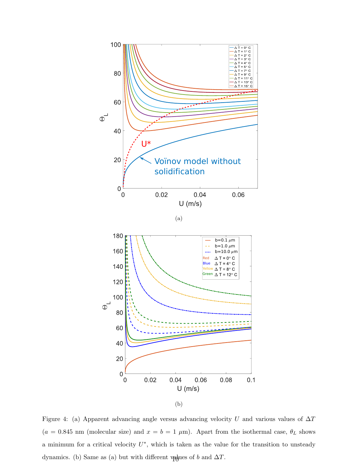

<span id="page-9-0"></span>Figure 4: (a) Apparent advancing angle versus advancing velocity U and various values of  $\Delta T$  $(a = 0.845 \text{ nm}$  (molecular size) and  $x = b = 1 \mu \text{m}$ ). Apart from the isothermal case,  $\theta_L$  shows a minimum for a critical velocity  $U^*$ , which is taken as the value for the transition to unsteady dynamics. (b) Same as (a) but with different values of b and  $\Delta T$ .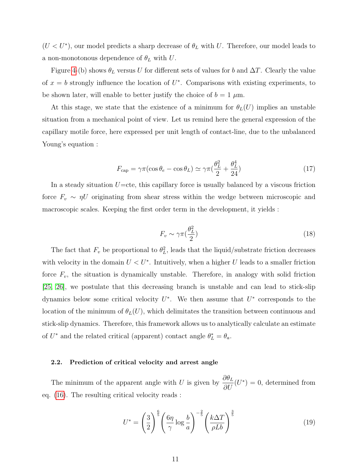$(U < U^*)$ , our model predicts a sharp decrease of  $\theta_L$  with U. Therefore, our model leads to a non-monotonous dependence of  $\theta_L$  with U.

Figure [4-](#page-9-0)(b) shows  $\theta_L$  versus U for different sets of values for b and  $\Delta T$ . Clearly the value of  $x = b$  strongly influence the location of  $U^*$ . Comparisons with existing experiments, to be shown later, will enable to better justify the choice of  $b = 1 \mu m$ .

At this stage, we state that the existence of a minimum for  $\theta_L(U)$  implies an unstable situation from a mechanical point of view. Let us remind here the general expression of the capillary motile force, here expressed per unit length of contact-line, due to the unbalanced Young's equation :

$$
F_{\rm cap} = \gamma \pi (\cos \theta_e - \cos \theta_L) \simeq \gamma \pi (\frac{\theta_L^2}{2} + \frac{\theta_L^4}{24})
$$
\n(17)

In a steady situation  $U =$ cte, this capillary force is usually balanced by a viscous friction force  $F_v \sim \eta U$  originating from shear stress within the wedge between microscopic and macroscopic scales. Keeping the first order term in the development, it yields :

$$
F_v \sim \gamma \pi \left(\frac{\theta_L^2}{2}\right) \tag{18}
$$

The fact that  $F_v$  be proportional to  $\theta_L^2$ , leads that the liquid/substrate friction decreases with velocity in the domain  $U < U^*$ . Intuitively, when a higher U leads to a smaller friction force  $F_v$ , the situation is dynamically unstable. Therefore, in analogy with solid friction [\[25,](#page-18-11) [26\]](#page-18-12), we postulate that this decreasing branch is unstable and can lead to stick-slip dynamics below some critical velocity  $U^*$ . We then assume that  $U^*$  corresponds to the location of the minimum of  $\theta_L(U)$ , which delimitates the transition between continuous and stick-slip dynamics. Therefore, this framework allows us to analytically calculate an estimate of  $U^*$  and the related critical (apparent) contact angle  $\theta_L^* = \theta_a$ .

# 2.2. Prediction of critical velocity and arrest angle

The minimum of the apparent angle with U is given by  $\frac{\partial \theta_L}{\partial V}$  $\frac{\partial v_L}{\partial U}(U^*)=0$ , determined from eq. [\(16\)](#page-8-2). The resulting critical velocity reads :

<span id="page-10-0"></span>
$$
U^* = \left(\frac{3}{2}\right)^{\frac{6}{5}} \left(\frac{6\eta}{\gamma} \log \frac{b}{a}\right)^{-\frac{2}{5}} \left(\frac{k\Delta T}{\rho L b}\right)^{\frac{3}{5}}\tag{19}
$$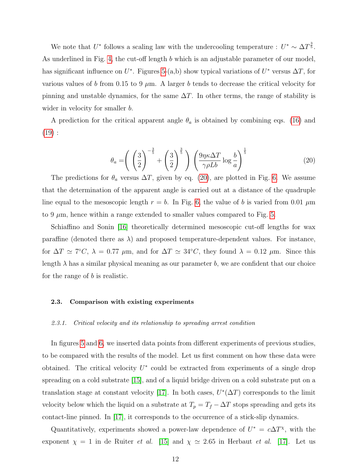We note that  $U^*$  follows a scaling law with the undercooling temperature :  $U^* \sim \Delta T^{\frac{3}{5}}$ . As underlined in Fig. [4,](#page-9-0) the cut-off length b which is an adjustable parameter of our model, has significant influence on  $U^*$ . Figures [5-](#page-12-0)(a,b) show typical variations of  $U^*$  versus  $\Delta T$ , for various values of b from 0.15 to 9  $\mu$ m. A larger b tends to decrease the critical velocity for pinning and unstable dynamics, for the same  $\Delta T$ . In other terms, the range of stability is wider in velocity for smaller *b*.

A prediction for the critical apparent angle  $\theta_a$  is obtained by combining eqs. [\(16\)](#page-8-2) and  $(19):$  $(19):$ 

<span id="page-11-0"></span>
$$
\theta_a = \left(\left(\frac{3}{2}\right)^{-\frac{3}{5}} + \left(\frac{3}{2}\right)^{\frac{3}{5}}\right) \left(\frac{9\eta\kappa\Delta T}{\gamma\rho Lb}\log\frac{b}{a}\right)^{\frac{1}{5}}\tag{20}
$$

The predictions for  $\theta_a$  versus  $\Delta T$ , given by eq. [\(20\)](#page-11-0), are plotted in Fig. [6.](#page-13-0) We assume that the determination of the apparent angle is carried out at a distance of the quadruple line equal to the mesoscopic length  $r = b$ . In Fig. [6,](#page-13-0) the value of b is varied from 0.01  $\mu$ m to 9  $\mu$ m, hence within a range extended to smaller values compared to Fig. [5.](#page-12-0)

Schiaffino and Sonin [\[16\]](#page-18-1) theoretically determined mesoscopic cut-off lengths for wax paraffine (denoted there as  $\lambda$ ) and proposed temperature-dependent values. For instance, for  $\Delta T \simeq 7^{\circ}C$ ,  $\lambda = 0.77 \mu \text{m}$ , and for  $\Delta T \simeq 34^{\circ}C$ , they found  $\lambda = 0.12 \mu \text{m}$ . Since this length  $\lambda$  has a similar physical meaning as our parameter b, we are confident that our choice for the range of b is realistic.

### 2.3. Comparison with existing experiments

## 2.3.1. Critical velocity and its relationship to spreading arrest condition

In figures [5](#page-12-0) and [6,](#page-13-0) we inserted data points from different experiments of previous studies, to be compared with the results of the model. Let us first comment on how these data were obtained. The critical velocity  $U^*$  could be extracted from experiments of a single drop spreading on a cold substrate [\[15\]](#page-18-8), and of a liquid bridge driven on a cold substrate put on a translation stage at constant velocity [\[17\]](#page-18-0). In both cases,  $U^*(\Delta T)$  corresponds to the limit velocity below which the liquid on a substrate at  $T_p = T_f - \Delta T$  stops spreading and gets its contact-line pinned. In [\[17\]](#page-18-0), it corresponds to the occurrence of a stick-slip dynamics.

Quantitatively, experiments showed a power-law dependence of  $U^* = c\Delta T^{\chi}$ , with the exponent  $\chi = 1$  in de Ruiter *et al.* [\[15\]](#page-18-8) and  $\chi \simeq 2.65$  in Herbaut *et al.* [\[17\]](#page-18-0). Let us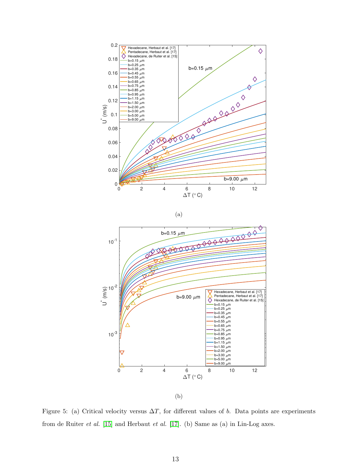

(a)



(b)

<span id="page-12-0"></span>Figure 5: (a) Critical velocity versus  $\Delta T$ , for different values of b. Data points are experiments from de Ruiter et al. [\[15\]](#page-18-8) and Herbaut et al. [\[17\]](#page-18-0). (b) Same as (a) in Lin-Log axes.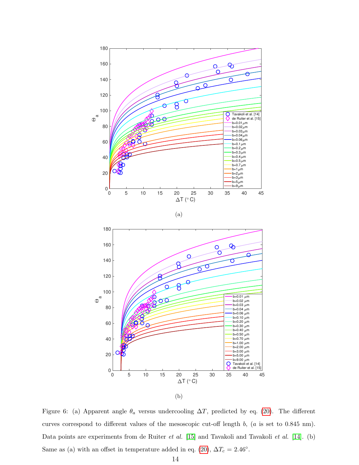

<span id="page-13-0"></span>Figure 6: (a) Apparent angle  $\theta_a$  versus undercooling  $\Delta T$ , predicted by eq. [\(20\)](#page-11-0). The different curves correspond to different values of the mesoscopic cut-off length b, (a is set to 0.845 nm). Data points are experiments from de Ruiter et al. [\[15\]](#page-18-8) and Tavakoli and Tavakoli et al. [\[14\]](#page-18-2). (b) Same as (a) with an offset in temperature added in eq. [\(20\)](#page-11-0),  $\Delta T_c = 2.46°$ .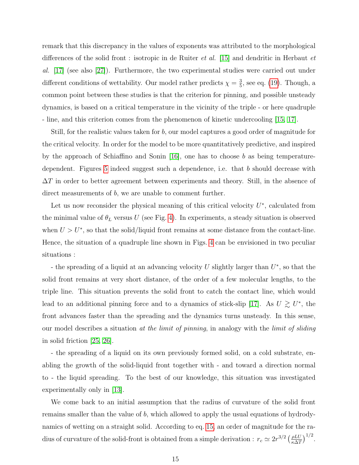remark that this discrepancy in the values of exponents was attributed to the morphological differences of the solid front : isotropic in de Ruiter et al. [\[15\]](#page-18-8) and dendritic in Herbaut et al. [\[17\]](#page-18-0) (see also [\[27\]](#page-18-13)). Furthermore, the two experimental studies were carried out under different conditions of wettability. Our model rather predicts  $\chi = \frac{3}{5}$  $\frac{3}{5}$ , see eq. [\(19\)](#page-10-0). Though, a common point between these studies is that the criterion for pinning, and possible unsteady dynamics, is based on a critical temperature in the vicinity of the triple - or here quadruple - line, and this criterion comes from the phenomenon of kinetic undercooling [\[15,](#page-18-8) [17\]](#page-18-0).

Still, for the realistic values taken for b, our model captures a good order of magnitude for the critical velocity. In order for the model to be more quantitatively predictive, and inspired by the approach of Schiaffino and Sonin [\[16\]](#page-18-1), one has to choose b as being temperature-dependent. Figures [5](#page-12-0) indeed suggest such a dependence, i.e. that b should decrease with  $\Delta T$  in order to better agreement between experiments and theory. Still, in the absence of direct measurements of b, we are unable to comment further.

Let us now reconsider the physical meaning of this critical velocity  $U^*$ , calculated from the minimal value of  $\theta_L$  versus U (see Fig. [4\)](#page-9-0). In experiments, a steady situation is observed when  $U > U^*$ , so that the solid/liquid front remains at some distance from the contact-line. Hence, the situation of a quadruple line shown in Figs. [4](#page-9-0) can be envisioned in two peculiar situations :

- the spreading of a liquid at an advancing velocity U slightly larger than  $U^*$ , so that the solid front remains at very short distance, of the order of a few molecular lengths, to the triple line. This situation prevents the solid front to catch the contact line, which would lead to an additional pinning force and to a dynamics of stick-slip [\[17\]](#page-18-0). As  $U \gtrsim U^*$ , the front advances faster than the spreading and the dynamics turns unsteady. In this sense, our model describes a situation at the limit of pinning, in analogy with the limit of sliding in solid friction [\[25,](#page-18-11) [26\]](#page-18-12).

- the spreading of a liquid on its own previously formed solid, on a cold substrate, enabling the growth of the solid-liquid front together with - and toward a direction normal to - the liquid spreading. To the best of our knowledge, this situation was investigated experimentally only in [\[13\]](#page-17-7).

We come back to an initial assumption that the radius of curvature of the solid front remains smaller than the value of b, which allowed to apply the usual equations of hydrodynamics of wetting on a straight solid. According to eq. [15,](#page-8-1) an order of magnitude for the radius of curvature of the solid-front is obtained from a simple derivation :  $r_c \simeq 2r^{3/2} \left(\frac{\rho L U}{\kappa \Delta T}\right)$  $\frac{\rho L U}{\kappa \Delta T}\Big)^{1/2}.$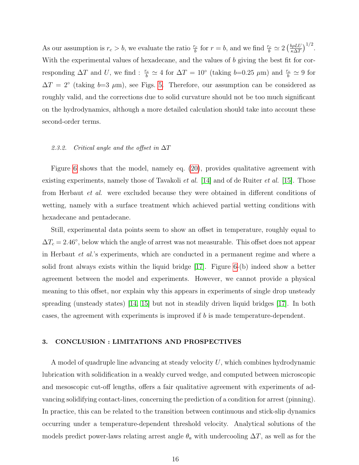As our assumption is  $r_c > b$ , we evaluate the ratio  $\frac{r_c}{b}$  for  $r = b$ , and we find  $\frac{r_c}{b} \simeq 2 \left( \frac{b \rho L U}{\kappa \Delta T} \right)$  $\frac{b\rho L U}{\kappa \Delta T}\Big)^{1/2}.$ With the experimental values of hexadecane, and the values of b giving the best fit for corresponding  $\Delta T$  and U, we find :  $\frac{r_c}{b} \simeq 4$  for  $\Delta T = 10^{\circ}$  (taking  $b=0.25 \mu m$ ) and  $\frac{r_c}{b} \simeq 9$  for  $\Delta T = 2^{\circ}$  (taking b=3  $\mu$ m), see Figs. [5.](#page-12-0) Therefore, our assumption can be considered as roughly valid, and the corrections due to solid curvature should not be too much significant on the hydrodynamics, although a more detailed calculation should take into account these second-order terms.

# 2.3.2. Critical angle and the offset in  $\Delta T$

Figure [6](#page-13-0) shows that the model, namely eq. [\(20\)](#page-11-0), provides qualitative agreement with existing experiments, namely those of Tavakoli *et al.* [\[14\]](#page-18-2) and of de Ruiter *et al.* [\[15\]](#page-18-8). Those from Herbaut et al. were excluded because they were obtained in different conditions of wetting, namely with a surface treatment which achieved partial wetting conditions with hexadecane and pentadecane.

Still, experimental data points seem to show an offset in temperature, roughly equal to  $\Delta T_c = 2.46^{\circ}$ , below which the angle of arrest was not measurable. This offset does not appear in Herbaut et al.'s experiments, which are conducted in a permanent regime and where a solid front always exists within the liquid bridge [\[17\]](#page-18-0). Figure [6-](#page-13-0)(b) indeed show a better agreement between the model and experiments. However, we cannot provide a physical meaning to this offset, nor explain why this appears in experiments of single drop unsteady spreading (unsteady states) [\[14,](#page-18-2) [15\]](#page-18-8) but not in steadily driven liquid bridges [\[17\]](#page-18-0). In both cases, the agreement with experiments is improved if b is made temperature-dependent.

## 3. CONCLUSION : LIMITATIONS AND PROSPECTIVES

A model of quadruple line advancing at steady velocity U, which combines hydrodynamic lubrication with solidification in a weakly curved wedge, and computed between microscopic and mesoscopic cut-off lengths, offers a fair qualitative agreement with experiments of advancing solidifying contact-lines, concerning the prediction of a condition for arrest (pinning). In practice, this can be related to the transition between continuous and stick-slip dynamics occurring under a temperature-dependent threshold velocity. Analytical solutions of the models predict power-laws relating arrest angle  $\theta_a$  with undercooling  $\Delta T$ , as well as for the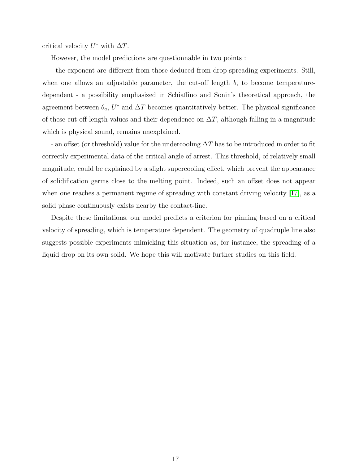critical velocity  $U^*$  with  $\Delta T$ .

However, the model predictions are questionnable in two points :

- the exponent are different from those deduced from drop spreading experiments. Still, when one allows an adjustable parameter, the cut-off length  $b$ , to become temperaturedependent - a possibility emphasized in Schiaffino and Sonin's theoretical approach, the agreement between  $\theta_a, U^*$  and  $\Delta T$  becomes quantitatively better. The physical significance of these cut-off length values and their dependence on  $\Delta T$ , although falling in a magnitude which is physical sound, remains unexplained.

- an offset (or threshold) value for the undercooling  $\Delta T$  has to be introduced in order to fit correctly experimental data of the critical angle of arrest. This threshold, of relatively small magnitude, could be explained by a slight supercooling effect, which prevent the appearance of solidification germs close to the melting point. Indeed, such an offset does not appear when one reaches a permanent regime of spreading with constant driving velocity [\[17\]](#page-18-0), as a solid phase continuously exists nearby the contact-line.

Despite these limitations, our model predicts a criterion for pinning based on a critical velocity of spreading, which is temperature dependent. The geometry of quadruple line also suggests possible experiments mimicking this situation as, for instance, the spreading of a liquid drop on its own solid. We hope this will motivate further studies on this field.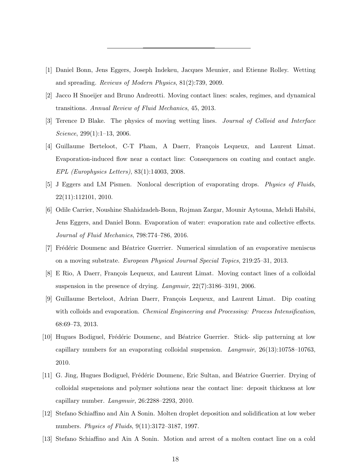- <span id="page-17-0"></span>[1] Daniel Bonn, Jens Eggers, Joseph Indekeu, Jacques Meunier, and Etienne Rolley. Wetting and spreading. Reviews of Modern Physics, 81(2):739, 2009.
- <span id="page-17-8"></span>[2] Jacco H Snoeijer and Bruno Andreotti. Moving contact lines: scales, regimes, and dynamical transitions. Annual Review of Fluid Mechanics, 45, 2013.
- <span id="page-17-1"></span>[3] Terence D Blake. The physics of moving wetting lines. Journal of Colloid and Interface Science, 299(1):1–13, 2006.
- <span id="page-17-2"></span>[4] Guillaume Berteloot, C-T Pham, A Daerr, François Lequeux, and Laurent Limat. Evaporation-induced flow near a contact line: Consequences on coating and contact angle. EPL (Europhysics Letters), 83(1):14003, 2008.
- [5] J Eggers and LM Pismen. Nonlocal description of evaporating drops. Physics of Fluids, 22(11):112101, 2010.
- [6] Odile Carrier, Noushine Shahidzadeh-Bonn, Rojman Zargar, Mounir Aytouna, Mehdi Habibi, Jens Eggers, and Daniel Bonn. Evaporation of water: evaporation rate and collective effects. Journal of Fluid Mechanics, 798:774–786, 2016.
- <span id="page-17-3"></span>[7] Frédéric Doumenc and Béatrice Guerrier. Numerical simulation of an evaporative meniscus on a moving substrate. European Physical Journal Special Topics, 219:25–31, 2013.
- <span id="page-17-4"></span>[8] E Rio, A Daerr, François Lequeux, and Laurent Limat. Moving contact lines of a colloidal suspension in the presence of drying. Langmuir, 22(7):3186–3191, 2006.
- [9] Guillaume Berteloot, Adrian Daerr, François Lequeux, and Laurent Limat. Dip coating with colloids and evaporation. *Chemical Engineering and Processing: Process Intensification*, 68:69–73, 2013.
- [10] Hugues Bodiguel, Frédéric Doumenc, and Béatrice Guerrier. Stick- slip patterning at low capillary numbers for an evaporating colloidal suspension. Langmuir, 26(13):10758–10763, 2010.
- <span id="page-17-5"></span>[11] G. Jing, Hugues Bodiguel, Frédéric Doumenc, Eric Sultan, and Béatrice Guerrier. Drying of colloidal suspensions and polymer solutions near the contact line: deposit thickness at low capillary number. Langmuir, 26:2288–2293, 2010.
- <span id="page-17-6"></span>[12] Stefano Schiaffino and Ain A Sonin. Molten droplet deposition and solidification at low weber numbers. Physics of Fluids, 9(11):3172–3187, 1997.
- <span id="page-17-7"></span>[13] Stefano Schiaffino and Ain A Sonin. Motion and arrest of a molten contact line on a cold